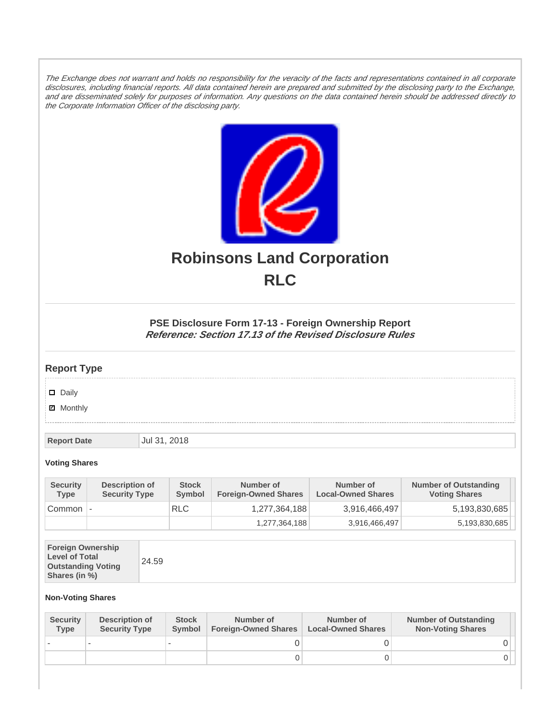The Exchange does not warrant and holds no responsibility for the veracity of the facts and representations contained in all corporate disclosures, including financial reports. All data contained herein are prepared and submitted by the disclosing party to the Exchange, and are disseminated solely for purposes of information. Any questions on the data contained herein should be addressed directly to the Corporate Information Officer of the disclosing party.



# **Robinsons Land Corporation RLC**

## **PSE Disclosure Form 17-13 - Foreign Ownership Report Reference: Section 17.13 of the Revised Disclosure Rules**

## **Report Type**

Daily

**Ø** Monthly

**Report Date Jul 31, 2018** 

#### **Voting Shares**

| <b>Security</b><br><b>Type</b> | Description of<br><b>Security Type</b> | <b>Stock</b><br>Symbol | Number of<br><b>Foreign-Owned Shares</b> | Number of<br><b>Local-Owned Shares</b> | <b>Number of Outstanding</b><br><b>Voting Shares</b> |
|--------------------------------|----------------------------------------|------------------------|------------------------------------------|----------------------------------------|------------------------------------------------------|
| Common                         |                                        | <b>RLC</b>             | 1,277,364,188                            | 3,916,466,497                          | 5,193,830,685                                        |
|                                |                                        |                        | 1,277,364,188                            | 3,916,466,497                          | 5,193,830,685                                        |

| <b>Foreign Ownership</b><br><b>Level of Total</b><br><b>Outstanding Voting</b><br>Shares (in %) | 24.59 |
|-------------------------------------------------------------------------------------------------|-------|
|-------------------------------------------------------------------------------------------------|-------|

### **Non-Voting Shares**

| <b>Security</b><br><b>Type</b> | Description of<br><b>Security Type</b> | <b>Stock</b><br><b>Symbol</b> | Number of<br><b>Foreign-Owned Shares</b> | Number of<br><b>Local-Owned Shares</b> | <b>Number of Outstanding</b><br><b>Non-Voting Shares</b> |
|--------------------------------|----------------------------------------|-------------------------------|------------------------------------------|----------------------------------------|----------------------------------------------------------|
|                                |                                        |                               |                                          |                                        |                                                          |
|                                |                                        |                               | O                                        |                                        |                                                          |